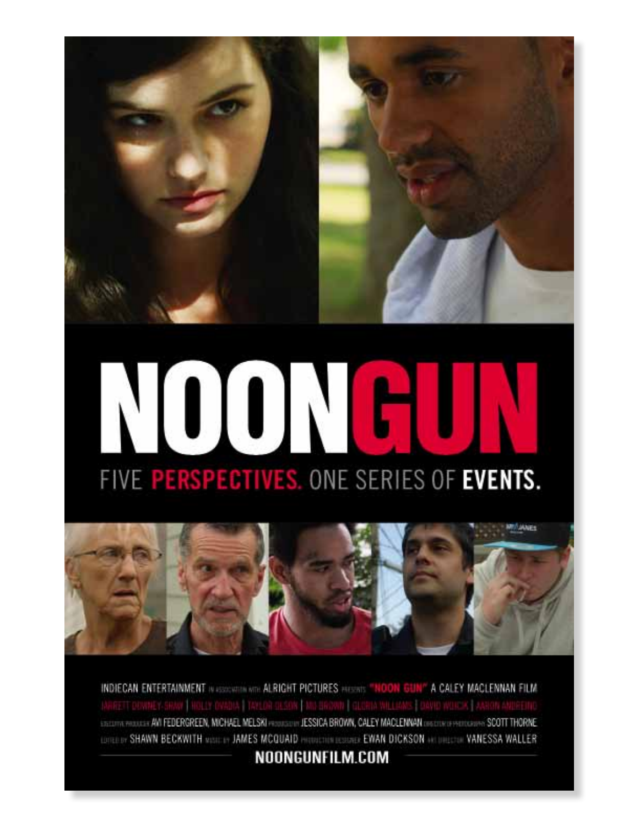

# FIVE PERSPECTIVES. ONE SERIES OF EVENTS.



INDIECAN ENTERTAINMENT IN 4500 WITH ALRIGHT PICTURES PHONES "HOON GUN" A CALEY MACLENNAN FILM<br>JARRETT DOWNEY-SRAW | HOLLY OVADIA | TAYLOR GLSON | MIN-BROWIN | GLORIA WILLIAMS | DAVID WILICIK | AARON ANDEEMO EDECOTA PROJULIS AVI FEDERGREEN, MICHAEL MELSKI PRODUCION JESSICA BROWN, CALEY MACLENNAN DIEDOKOFPRODUKTIVA SCOTT THORNE LOTEL BY SHAWN BECKWITH VISIT IT JAMES MCQUAID PRODUCED EVAN DICKSON ACTIVE CON VANESSA WALLER

NOONGUNFILM.COM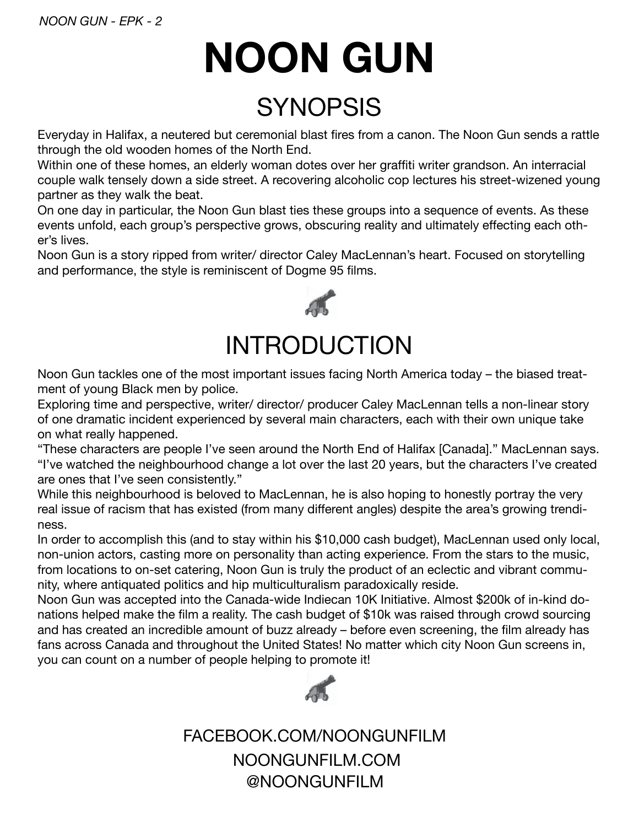## **NOON GUN**

#### **SYNOPSIS**

Everyday in Halifax, a neutered but ceremonial blast fires from a canon. The Noon Gun sends a rattle through the old wooden homes of the North End.

Within one of these homes, an elderly woman dotes over her graffiti writer grandson. An interracial couple walk tensely down a side street. A recovering alcoholic cop lectures his street-wizened young partner as they walk the beat.

On one day in particular, the Noon Gun blast ties these groups into a sequence of events. As these events unfold, each group's perspective grows, obscuring reality and ultimately effecting each other's lives.

Noon Gun is a story ripped from writer/ director Caley MacLennan's heart. Focused on storytelling and performance, the style is reminiscent of Dogme 95 films.



#### INTRODUCTION

Noon Gun tackles one of the most important issues facing North America today – the biased treatment of young Black men by police.

Exploring time and perspective, writer/ director/ producer Caley MacLennan tells a non-linear story of one dramatic incident experienced by several main characters, each with their own unique take on what really happened.

"These characters are people I've seen around the North End of Halifax [Canada]." MacLennan says. "I've watched the neighbourhood change a lot over the last 20 years, but the characters I've created are ones that I've seen consistently."

While this neighbourhood is beloved to MacLennan, he is also hoping to honestly portray the very real issue of racism that has existed (from many different angles) despite the area's growing trendiness.

In order to accomplish this (and to stay within his \$10,000 cash budget), MacLennan used only local, non-union actors, casting more on personality than acting experience. From the stars to the music, from locations to on-set catering, Noon Gun is truly the product of an eclectic and vibrant community, where antiquated politics and hip multiculturalism paradoxically reside.

Noon Gun was accepted into the Canada-wide Indiecan 10K Initiative. Almost \$200k of in-kind donations helped make the film a reality. The cash budget of \$10k was raised through crowd sourcing and has created an incredible amount of buzz already – before even screening, the film already has fans across Canada and throughout the United States! No matter which city Noon Gun screens in, you can count on a number of people helping to promote it!



@NOONGUNFILM FACEBOOK.COM/NOONGUNFILM NOONGUNFILM.COM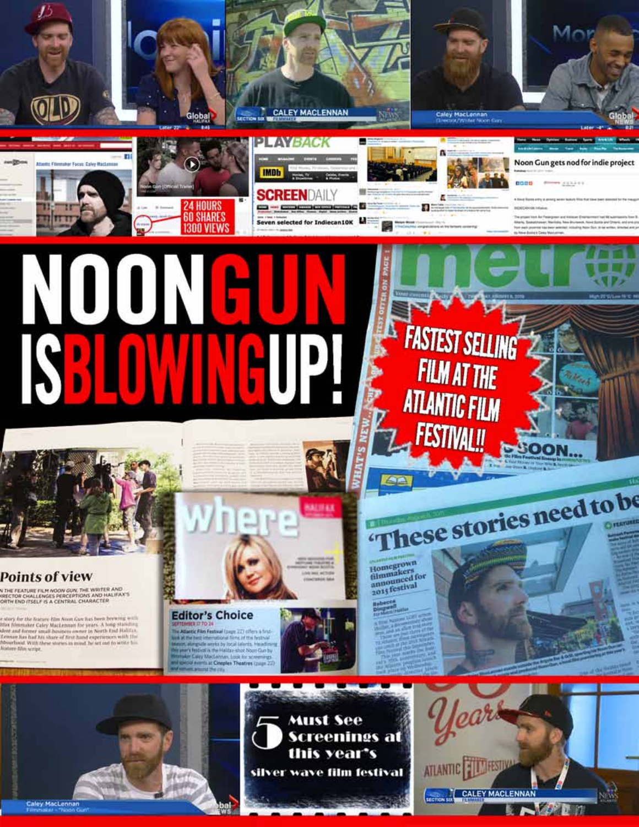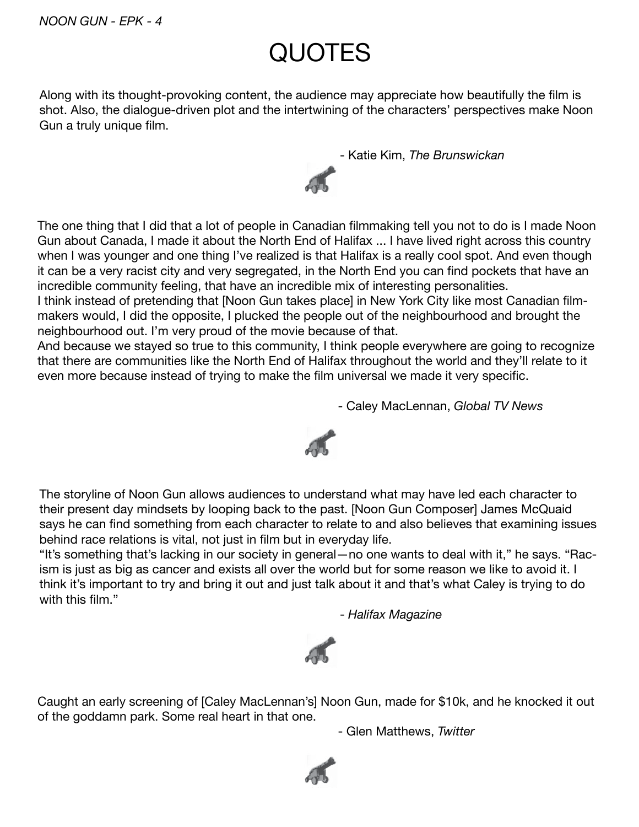### **QUOTES**

Along with its thought-provoking content, the audience may appreciate how beautifully the film is shot. Also, the dialogue-driven plot and the intertwining of the characters' perspectives make Noon Gun a truly unique film.

- Katie Kim, *The Brunswickan*



The one thing that I did that a lot of people in Canadian filmmaking tell you not to do is I made Noon Gun about Canada, I made it about the North End of Halifax ... I have lived right across this country when I was younger and one thing I've realized is that Halifax is a really cool spot. And even though it can be a very racist city and very segregated, in the North End you can find pockets that have an incredible community feeling, that have an incredible mix of interesting personalities.

I think instead of pretending that [Noon Gun takes place] in New York City like most Canadian filmmakers would, I did the opposite, I plucked the people out of the neighbourhood and brought the neighbourhood out. I'm very proud of the movie because of that.

And because we stayed so true to this community, I think people everywhere are going to recognize that there are communities like the North End of Halifax throughout the world and they'll relate to it even more because instead of trying to make the film universal we made it very specific.

- Caley MacLennan, *Global TV News*



The storyline of Noon Gun allows audiences to understand what may have led each character to their present day mindsets by looping back to the past. [Noon Gun Composer] James McQuaid says he can find something from each character to relate to and also believes that examining issues behind race relations is vital, not just in film but in everyday life.

"It's something that's lacking in our society in general—no one wants to deal with it," he says. "Racism is just as big as cancer and exists all over the world but for some reason we like to avoid it. I think it's important to try and bring it out and just talk about it and that's what Caley is trying to do with this film."

- *Halifax Magazine*



Caught an early screening of [Caley MacLennan's] Noon Gun, made for \$10k, and he knocked it out of the goddamn park. Some real heart in that one.

- Glen Matthews, *Twitter*

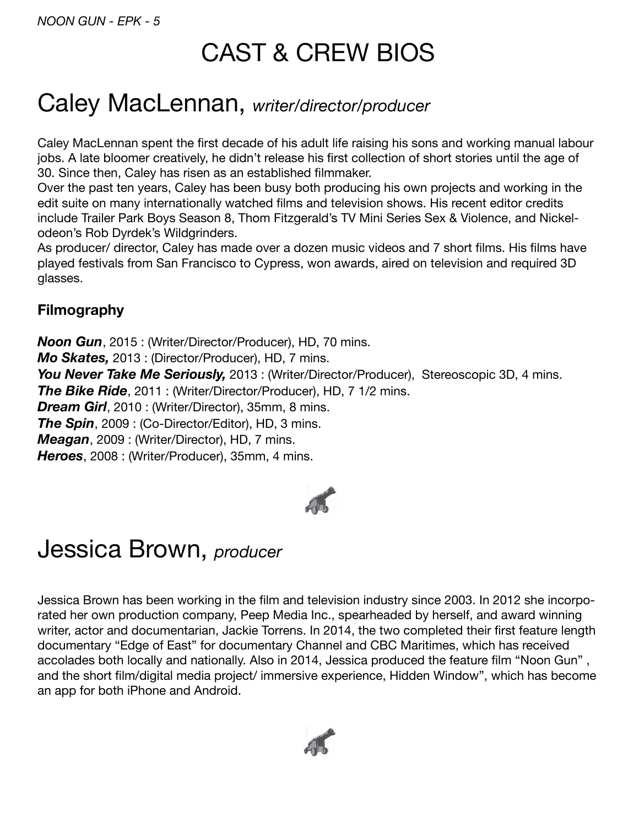#### CAST & CREW BIOS

#### Caley MacLennan, *writer/director/producer*

Caley MacLennan spent the first decade of his adult life raising his sons and working manual labour jobs. A late bloomer creatively, he didn't release his first collection of short stories until the age of 30. Since then, Caley has risen as an established filmmaker.

Over the past ten years, Caley has been busy both producing his own projects and working in the edit suite on many internationally watched films and television shows. His recent editor credits include Trailer Park Boys Season 8, Thom Fitzgerald's TV Mini Series Sex & Violence, and Nickelodeon's Rob Dyrdek's Wildgrinders.

As producer/ director, Caley has made over a dozen music videos and 7 short films. His films have played festivals from San Francisco to Cypress, won awards, aired on television and required 3D glasses.

#### **Filmography**

*Noon Gun*, 2015 : (Writer/Director/Producer), HD, 70 mins. *Mo Skates,* 2013 : (Director/Producer), HD, 7 mins. *You Never Take Me Seriously,* 2013 : (Writer/Director/Producer), Stereoscopic 3D, 4 mins. *The Bike Ride*, 2011 : (Writer/Director/Producer), HD, 7 1/2 mins. *Dream Girl*, 2010 : (Writer/Director), 35mm, 8 mins. *The Spin*, 2009 : (Co-Director/Editor), HD, 3 mins. *Meagan*, 2009 : (Writer/Director), HD, 7 mins. *Heroes*, 2008 : (Writer/Producer), 35mm, 4 mins.



#### Jessica Brown, *producer*

Jessica Brown has been working in the film and television industry since 2003. In 2012 she incorporated her own production company, Peep Media Inc., spearheaded by herself, and award winning writer, actor and documentarian, Jackie Torrens. In 2014, the two completed their first feature length documentary "Edge of East" for documentary Channel and CBC Maritimes, which has received accolades both locally and nationally. Also in 2014, Jessica produced the feature film "Noon Gun" , and the short film/digital media project/ immersive experience, Hidden Window", which has become an app for both iPhone and Android.

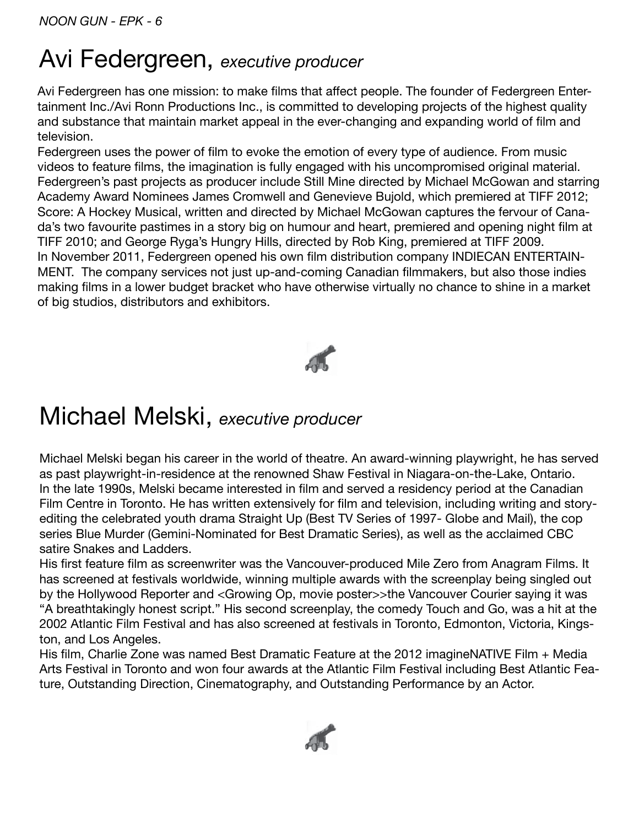#### Avi Federgreen, executive producer

Avi Federgreen has one mission: to make films that affect people. The founder of Federgreen Entertainment Inc./Avi Ronn Productions Inc., is committed to developing projects of the highest quality and substance that maintain market appeal in the ever-changing and expanding world of film and television.

Federgreen uses the power of film to evoke the emotion of every type of audience. From music videos to feature films, the imagination is fully engaged with his uncompromised original material. Federgreen's past projects as producer include Still Mine directed by Michael McGowan and starring Academy Award Nominees James Cromwell and Genevieve Bujold, which premiered at TIFF 2012; Score: A Hockey Musical, written and directed by Michael McGowan captures the fervour of Canada's two favourite pastimes in a story big on humour and heart, premiered and opening night film at TIFF 2010; and George Ryga's Hungry Hills, directed by Rob King, premiered at TIFF 2009. In November 2011, Federgreen opened his own film distribution company INDIECAN ENTERTAIN-MENT. The company services not just up-and-coming Canadian filmmakers, but also those indies making films in a lower budget bracket who have otherwise virtually no chance to shine in a market of big studios, distributors and exhibitors.



#### Michael Melski, executive producer

Michael Melski began his career in the world of theatre. An award-winning playwright, he has served as past playwright-in-residence at the renowned Shaw Festival in Niagara-on-the-Lake, Ontario. In the late 1990s, Melski became interested in film and served a residency period at the Canadian Film Centre in Toronto. He has written extensively for film and television, including writing and storyediting the celebrated youth drama Straight Up (Best TV Series of 1997- Globe and Mail), the cop series Blue Murder (Gemini-Nominated for Best Dramatic Series), as well as the acclaimed CBC satire Snakes and Ladders

His first feature film as screenwriter was the Vancouver-produced Mile Zero from Anagram Films. It has screened at festivals worldwide, winning multiple awards with the screenplay being singled out by the Hollywood Reporter and <Growing Op, movie poster>>the Vancouver Courier saying it was "A breathtakingly honest script." His second screenplay, the comedy Touch and Go, was a hit at the 2002 Atlantic Film Festival and has also screened at festivals in Toronto, Edmonton, Victoria, Kingston, and Los Angeles.

His film, Charlie Zone was named Best Dramatic Feature at the 2012 imagineNATIVE Film + Media Arts Festival in Toronto and won four awards at the Atlantic Film Festival including Best Atlantic Feature, Outstanding Direction, Cinematography, and Outstanding Performance by an Actor.

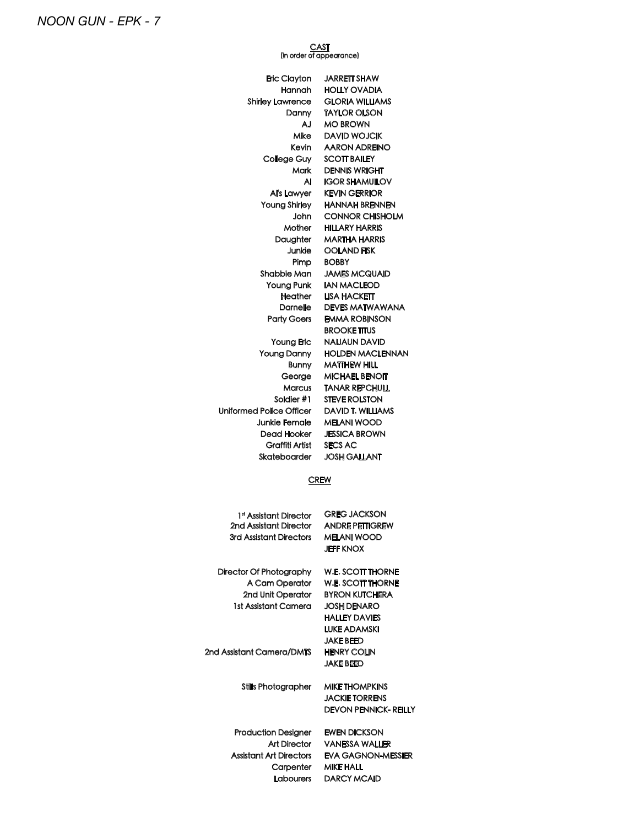CAST<br>(in order of appearance)

| Eric Clayton                       | <b>JARRETT SHAW</b>                             |
|------------------------------------|-------------------------------------------------|
| Hannah                             | <b>HOLLY OVADIA</b>                             |
| Shirley Lawrence                   | <b>GLORIA WILLIAMS</b>                          |
| Danny                              | <b>TAYLOR OLSON</b>                             |
| AJ                                 | <b>MO BROWN</b>                                 |
| Mike                               | <b>DAVID WOJCIK</b>                             |
| Kevin                              | <b>AARON ADREINO</b>                            |
| College Guy                        | <b>SCOTT BAILEY</b>                             |
| Mark                               | <b>DENNIS WRIGHT</b>                            |
| Al                                 | <b>IGOR SHAMUILOV</b>                           |
| Al's Lawyer                        | <b>KEVIN GERRIOR</b>                            |
| <b>Young Shirley</b><br>John       | <b>HANNAH BRENNEN</b><br><b>CONNOR CHISHOLM</b> |
| Mother                             | <b>HILLARY HARRIS</b>                           |
| Daughter                           | <b>MARTHA HARRIS</b>                            |
| Junkie                             | <b>OOLAND FISK</b>                              |
| Pimp                               | <b>BOBBY</b>                                    |
| Shabbie Man                        | <b>JAMES MCQUAID</b>                            |
| Young Punk                         | <b>IAN MACLEOD</b>                              |
| Heather                            | <b>LISA HACKETT</b>                             |
| <b>Darnelle</b>                    | <b>DEVES MATWAWANA</b>                          |
| <b>Party Goers</b>                 | <b>EMMA ROBINSON</b>                            |
|                                    | <b>BROOKE TITUS</b>                             |
| <b>Young Eric</b>                  | <b>NAIJAUN DAVID</b>                            |
| <b>Young Danny</b>                 | <b>HOLDEN MACLENNAN</b>                         |
| <b>Bunny</b>                       | <b>MATTHEW HILL</b>                             |
| George                             | <b>MICHAEL BENOIT</b>                           |
| Marcus                             | <b>TANAR REPCHULL</b>                           |
| Soldier #1                         | <b>STEVE ROLSTON</b>                            |
| Uniformed Police Officer           | DAVID T. WILLIAMS                               |
| Junkie Female                      | <b>MELANI WOOD</b>                              |
| Dead Hooker                        | <b>JESSICA BROWN</b>                            |
| Graffiti Artist                    | SECS AC                                         |
| Skateboarder                       | <b>JOSH GALLANT</b>                             |
|                                    |                                                 |
| <b>CREW</b>                        |                                                 |
|                                    |                                                 |
| 1 <sup>st</sup> Assistant Director | <b>GREG JACKSON</b>                             |
| 2nd Assistant Director             | ANDRE PETTIGREW                                 |
| 3rd Assistant Directors            | <b>MELANI WOOD</b>                              |
|                                    | <b>JEFF KNOX</b>                                |
| <b>Director Of Photography</b>     | <b>W.E. SCOTT THORNE</b>                        |
| A Cam Operator                     | <b>W.E. SCOTT THORNE</b>                        |
| 2nd Unit Operator                  | <b>BYRON KUTCHERA</b>                           |
| 1st Assistant Camera               | <b>JOSH DENARO</b>                              |
|                                    | <b>HALLEY DAVIES</b>                            |
|                                    | <b>LUKE ADAMSKI</b>                             |
|                                    | <b>JAKE BEED</b>                                |
| 2nd Assistant Camera/DMTS          | <b>HENRY COLIN</b>                              |
|                                    | <b>JAKE BEED</b>                                |
|                                    |                                                 |
| <b>Stills Photographer</b>         | <b>MIKE THOMPKINS</b>                           |
|                                    | <b>JACKIE TORRENS</b>                           |
|                                    | <b>DEVON PENNICK- REILLY</b>                    |
| <b>Production Designer</b>         | <b>EWEN DICKSON</b>                             |
| <b>Art Director</b>                | <b>VANESSA WALLER</b>                           |
| <b>Assistant Art Directors</b>     | <b>EVA GAGNON-MESSIER</b>                       |
| Carpenter                          | <b>MIKE HALL</b>                                |

Labourers DARCY MCAID